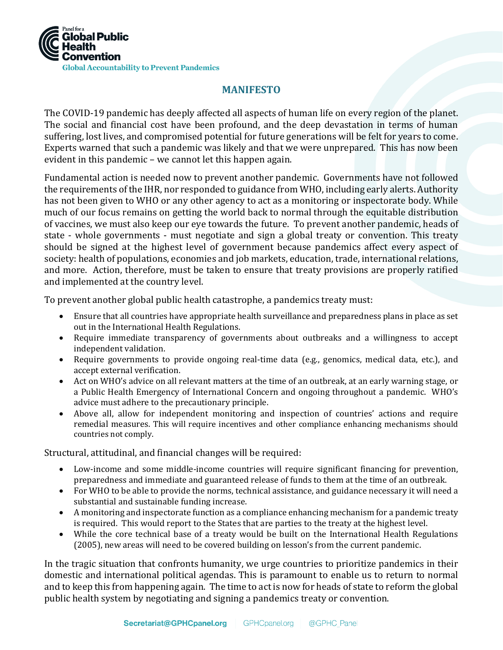

## **MANIFESTO**

The COVID-19 pandemic has deeply affected all aspects of human life on every region of the planet. The social and financial cost have been profound, and the deep devastation in terms of human suffering, lost lives, and compromised potential for future generations will be felt for years to come. Experts warned that such a pandemic was likely and that we were unprepared. This has now been evident in this pandemic – we cannot let this happen again.

Fundamental action is needed now to prevent another pandemic. Governments have not followed the requirements of the IHR, nor responded to guidance from WHO, including early alerts. Authority has not been given to WHO or any other agency to act as a monitoring or inspectorate body. While much of our focus remains on getting the world back to normal through the equitable distribution of vaccines, we must also keep our eye towards the future. To prevent another pandemic, heads of state - whole governments - must negotiate and sign a global treaty or convention. This treaty should be signed at the highest level of government because pandemics affect every aspect of society: health of populations, economies and job markets, education, trade, international relations, and more. Action, therefore, must be taken to ensure that treaty provisions are properly ratified and implemented at the country level.

To prevent another global public health catastrophe, a pandemics treaty must:

- Ensure that all countries have appropriate health surveillance and preparedness plans in place as set out in the International Health Regulations.
- Require immediate transparency of governments about outbreaks and a willingness to accept independent validation.
- Require governments to provide ongoing real-time data (e.g., genomics, medical data, etc.), and accept external verification.
- Act on WHO's advice on all relevant matters at the time of an outbreak, at an early warning stage, or a Public Health Emergency of International Concern and ongoing throughout a pandemic. WHO's advice must adhere to the precautionary principle.
- Above all, allow for independent monitoring and inspection of countries' actions and require remedial measures. This will require incentives and other compliance enhancing mechanisms should countries not comply.

Structural, attitudinal, and financial changes will be required:

- Low-income and some middle-income countries will require significant financing for prevention, preparedness and immediate and guaranteed release of funds to them at the time of an outbreak.
- For WHO to be able to provide the norms, technical assistance, and guidance necessary it will need a substantial and sustainable funding increase.
- A monitoring and inspectorate function as a compliance enhancing mechanism for a pandemic treaty is required. This would report to the States that are parties to the treaty at the highest level.
- While the core technical base of a treaty would be built on the International Health Regulations (2005), new areas will need to be covered building on lesson's from the current pandemic.

In the tragic situation that confronts humanity, we urge countries to prioritize pandemics in their domestic and international political agendas. This is paramount to enable us to return to normal and to keep this from happening again. The time to act is now for heads of state to reform the global public health system by negotiating and signing a pandemics treaty or convention.